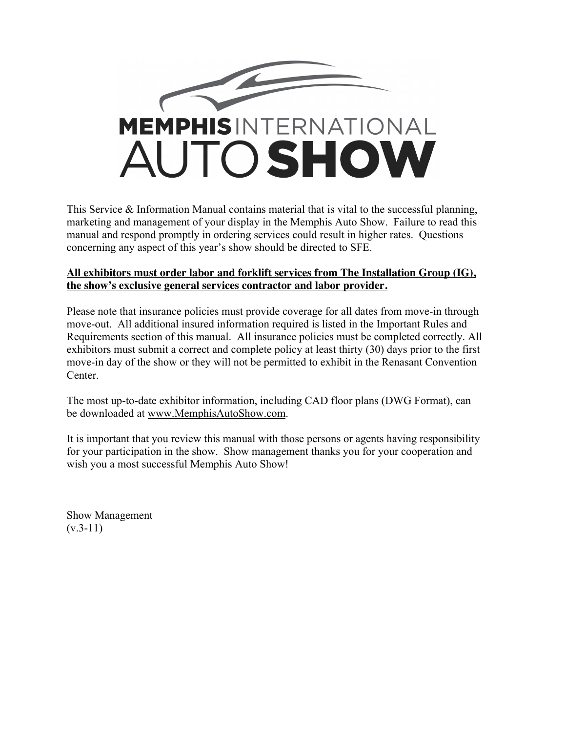

This Service & Information Manual contains material that is vital to the successful planning, marketing and management of your display in the Memphis Auto Show. Failure to read this manual and respond promptly in ordering services could result in higher rates. Questions concerning any aspect of this year's show should be directed to SFE.

#### **All exhibitors must order labor and forklift services from The Installation Group (IG), the show's exclusive general services contractor and labor provider.**

Please note that insurance policies must provide coverage for all dates from move-in through move-out. All additional insured information required is listed in the Important Rules and Requirements section of this manual. All insurance policies must be completed correctly. All exhibitors must submit a correct and complete policy at least thirty (30) days prior to the first move-in day of the show or they will not be permitted to exhibit in the Renasant Convention Center.

The most up-to-date exhibitor information, including CAD floor plans (DWG Format), can be downloaded at www.MemphisAutoShow.com.

It is important that you review this manual with those persons or agents having responsibility for your participation in the show. Show management thanks you for your cooperation and wish you a most successful Memphis Auto Show!

Show Management  $(v.3-11)$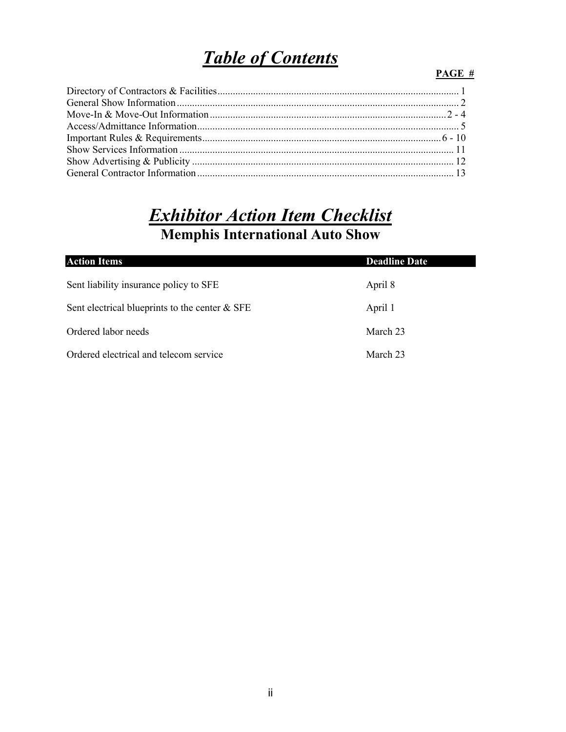## *Table of Contents*

#### **PAGE #**

## *Exhibitor Action Item Checklist* **Memphis International Auto Show**

| <b>Action Items</b>                              | <b>Deadline Date</b> |
|--------------------------------------------------|----------------------|
| Sent liability insurance policy to SFE           | April 8              |
| Sent electrical blueprints to the center $&$ SFE | April 1              |
| Ordered labor needs                              | March 23             |
| Ordered electrical and telecom service           | March 23             |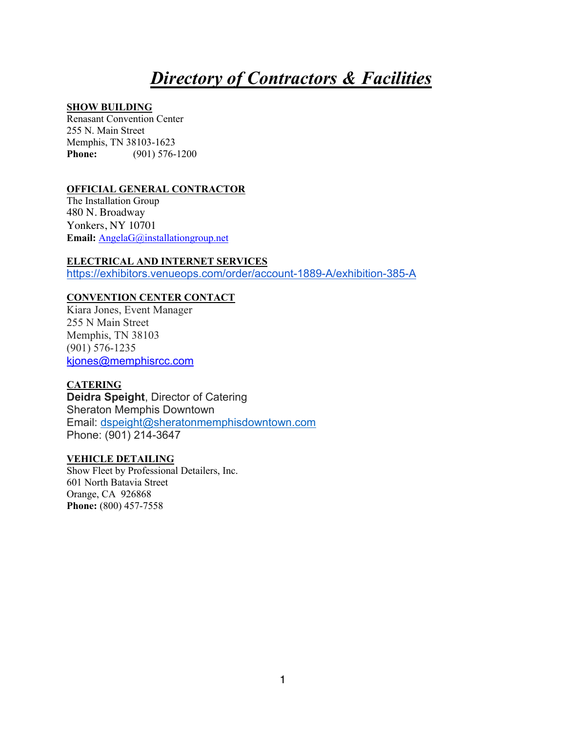## *Directory of Contractors & Facilities*

#### **SHOW BUILDING**

Renasant Convention Center 255 N. Main Street Memphis, TN 38103-1623 **Phone:** (901) 576-1200

#### **OFFICIAL GENERAL CONTRACTOR**

The Installation Group 480 N. Broadway Yonkers, NY 10701 **Email:** AngelaG@installationgroup.net

**ELECTRICAL AND INTERNET SERVICES** https://exhibitors.venueops.com/order/account-1889-A/exhibition-385-A

#### **CONVENTION CENTER CONTACT**

Kiara Jones, Event Manager 255 N Main Street Memphis, TN 38103 (901) 576-1235 kjones@memphisrcc.com

#### **CATERING**

**Deidra Speight**, Director of Catering Sheraton Memphis Downtown Email: dspeight@sheratonmemphisdowntown.com Phone: (901) 214-3647

#### **VEHICLE DETAILING**

Show Fleet by Professional Detailers, Inc. 601 North Batavia Street Orange, CA 926868 **Phone:** (800) 457-7558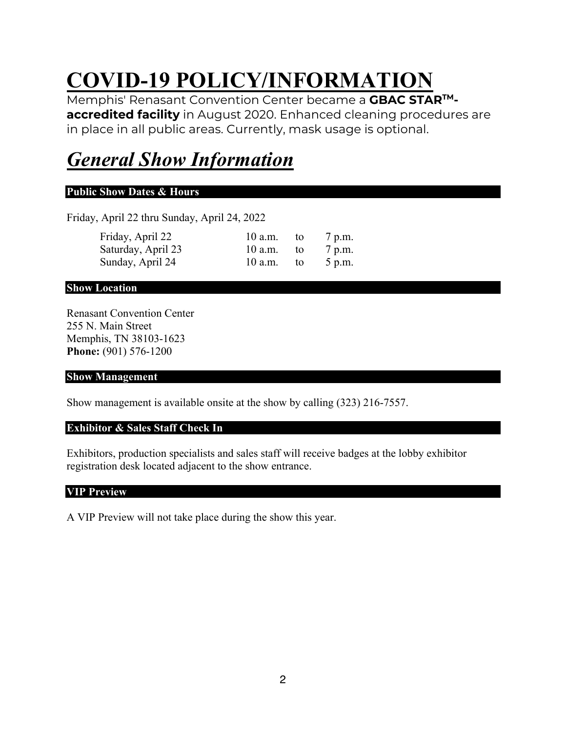# **COVID-19 POLICY/INFORMATION**

Memphis' Renasant Convention Center became a **GBAC STARTMaccredited facility** in August 2020. Enhanced cleaning procedures are in place in all public areas. Currently, mask usage is optional.

## *General Show Information*

#### **Public Show Dates & Hours**

Friday, April 22 thru Sunday, April 24, 2022

| Friday, April 22   | 10 a.m. | to | 7 p.m. |
|--------------------|---------|----|--------|
| Saturday, April 23 | 10 a.m. | to | 7 p.m. |
| Sunday, April 24   | 10 a.m. | to | 5 p.m. |

#### **Show Location**

Renasant Convention Center 255 N. Main Street Memphis, TN 38103-1623 **Phone:** (901) 576-1200

#### **Show Management**

Show management is available onsite at the show by calling (323) 216-7557.

#### **Exhibitor & Sales Staff Check In**

Exhibitors, production specialists and sales staff will receive badges at the lobby exhibitor registration desk located adjacent to the show entrance.

#### **VIP Preview**

A VIP Preview will not take place during the show this year.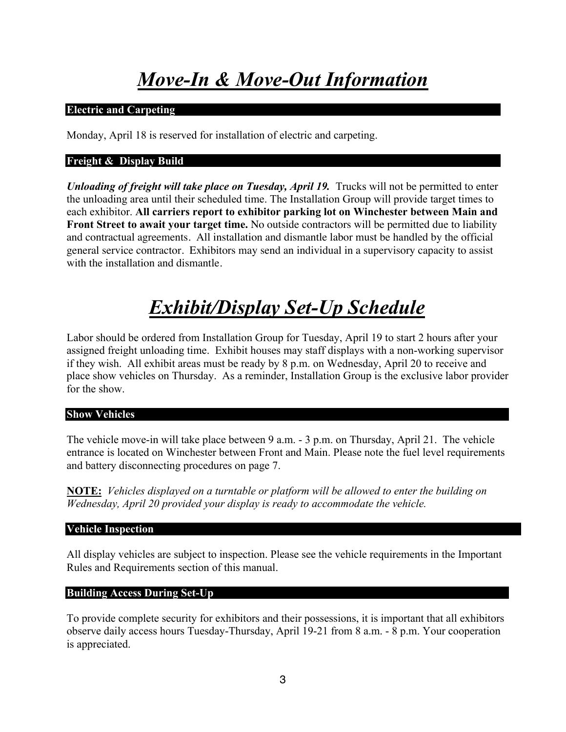# *Move-In & Move-Out Information*

#### **Electric and Carpeting**

Monday, April 18 is reserved for installation of electric and carpeting.

#### **Freight & Display Build**

*Unloading of freight will take place on Tuesday, April 19.* Trucks will not be permitted to enter the unloading area until their scheduled time. The Installation Group will provide target times to each exhibitor. **All carriers report to exhibitor parking lot on Winchester between Main and Front Street to await your target time.** No outside contractors will be permitted due to liability and contractual agreements. All installation and dismantle labor must be handled by the official general service contractor. Exhibitors may send an individual in a supervisory capacity to assist with the installation and dismantle.

# *Exhibit/Display Set-Up Schedule*

Labor should be ordered from Installation Group for Tuesday, April 19 to start 2 hours after your assigned freight unloading time. Exhibit houses may staff displays with a non-working supervisor if they wish. All exhibit areas must be ready by 8 p.m. on Wednesday, April 20 to receive and place show vehicles on Thursday. As a reminder, Installation Group is the exclusive labor provider for the show.

#### **Show Vehicles**

The vehicle move-in will take place between 9 a.m. - 3 p.m. on Thursday, April 21. The vehicle entrance is located on Winchester between Front and Main. Please note the fuel level requirements and battery disconnecting procedures on page 7.

**NOTE:** *Vehicles displayed on a turntable or platform will be allowed to enter the building on Wednesday, April 20 provided your display is ready to accommodate the vehicle.*

#### **Vehicle Inspection**

All display vehicles are subject to inspection. Please see the vehicle requirements in the Important Rules and Requirements section of this manual.

#### **Building Access During Set-Up**

To provide complete security for exhibitors and their possessions, it is important that all exhibitors observe daily access hours Tuesday-Thursday, April 19-21 from 8 a.m. - 8 p.m. Your cooperation is appreciated.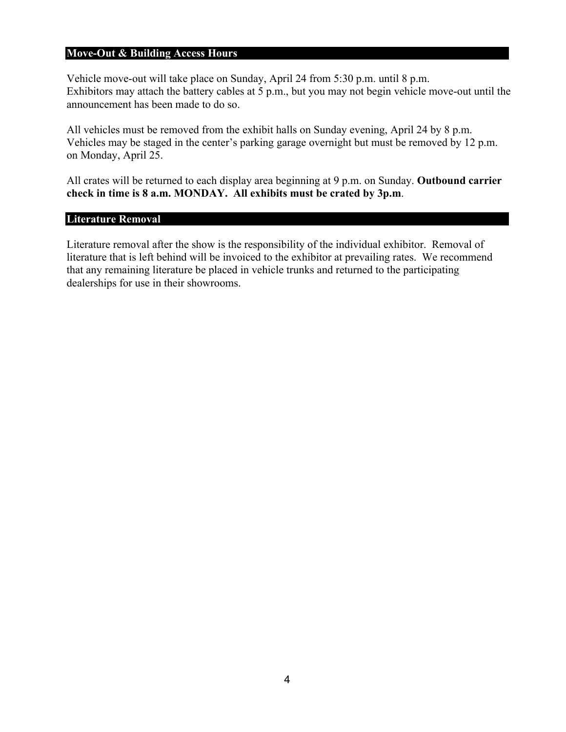#### **Move-Out & Building Access Hours**

Vehicle move-out will take place on Sunday, April 24 from 5:30 p.m. until 8 p.m. Exhibitors may attach the battery cables at 5 p.m., but you may not begin vehicle move-out until the announcement has been made to do so.

All vehicles must be removed from the exhibit halls on Sunday evening, April 24 by 8 p.m. Vehicles may be staged in the center's parking garage overnight but must be removed by 12 p.m. on Monday, April 25.

All crates will be returned to each display area beginning at 9 p.m. on Sunday. **Outbound carrier check in time is 8 a.m. MONDAY. All exhibits must be crated by 3p.m**.

#### **Literature Removal**

Literature removal after the show is the responsibility of the individual exhibitor. Removal of literature that is left behind will be invoiced to the exhibitor at prevailing rates. We recommend that any remaining literature be placed in vehicle trunks and returned to the participating dealerships for use in their showrooms.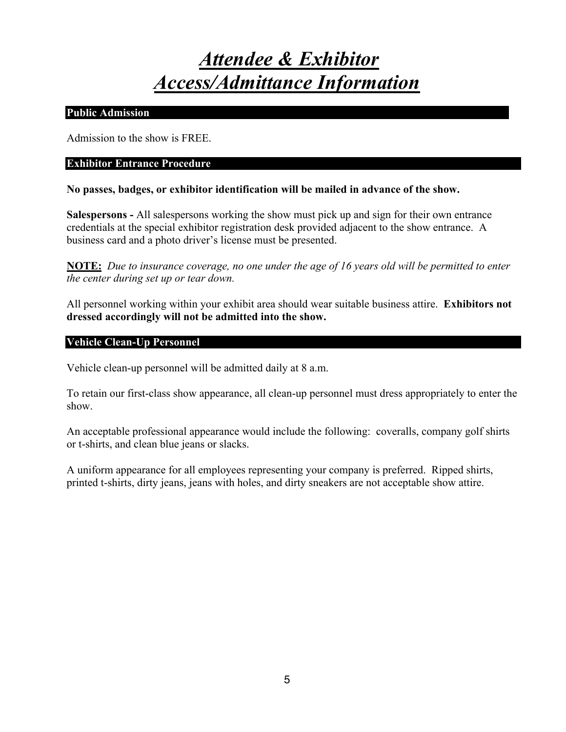## *Attendee & Exhibitor Access/Admittance Information*

#### **Public Admission**

Admission to the show is FREE.

#### **Exhibitor Entrance Procedure**

#### **No passes, badges, or exhibitor identification will be mailed in advance of the show.**

**Salespersons -** All salespersons working the show must pick up and sign for their own entrance credentials at the special exhibitor registration desk provided adjacent to the show entrance. A business card and a photo driver's license must be presented.

**NOTE:** *Due to insurance coverage, no one under the age of 16 years old will be permitted to enter the center during set up or tear down.* 

All personnel working within your exhibit area should wear suitable business attire. **Exhibitors not dressed accordingly will not be admitted into the show.**

#### **Vehicle Clean-Up Personnel**

Vehicle clean-up personnel will be admitted daily at 8 a.m.

To retain our first-class show appearance, all clean-up personnel must dress appropriately to enter the show.

An acceptable professional appearance would include the following: coveralls, company golf shirts or t-shirts, and clean blue jeans or slacks.

A uniform appearance for all employees representing your company is preferred. Ripped shirts, printed t-shirts, dirty jeans, jeans with holes, and dirty sneakers are not acceptable show attire.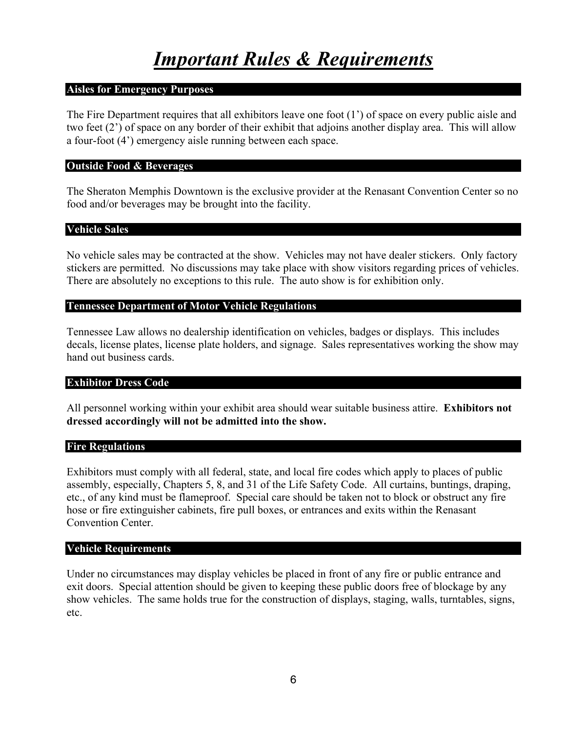#### **Aisles for Emergency Purposes**

The Fire Department requires that all exhibitors leave one foot (1') of space on every public aisle and two feet (2') of space on any border of their exhibit that adjoins another display area. This will allow a four-foot (4') emergency aisle running between each space.

#### **Outside Food & Beverages**

The Sheraton Memphis Downtown is the exclusive provider at the Renasant Convention Center so no food and/or beverages may be brought into the facility.

#### **Vehicle Sales**

No vehicle sales may be contracted at the show. Vehicles may not have dealer stickers. Only factory stickers are permitted. No discussions may take place with show visitors regarding prices of vehicles. There are absolutely no exceptions to this rule. The auto show is for exhibition only.

#### **Tennessee Department of Motor Vehicle Regulations**

Tennessee Law allows no dealership identification on vehicles, badges or displays. This includes decals, license plates, license plate holders, and signage. Sales representatives working the show may hand out business cards.

#### **Exhibitor Dress Code**

All personnel working within your exhibit area should wear suitable business attire. **Exhibitors not dressed accordingly will not be admitted into the show.**

#### **Fire Regulations**

Exhibitors must comply with all federal, state, and local fire codes which apply to places of public assembly, especially, Chapters 5, 8, and 31 of the Life Safety Code. All curtains, buntings, draping, etc., of any kind must be flameproof. Special care should be taken not to block or obstruct any fire hose or fire extinguisher cabinets, fire pull boxes, or entrances and exits within the Renasant Convention Center.

#### **Vehicle Requirements**

Under no circumstances may display vehicles be placed in front of any fire or public entrance and exit doors. Special attention should be given to keeping these public doors free of blockage by any show vehicles. The same holds true for the construction of displays, staging, walls, turntables, signs, etc.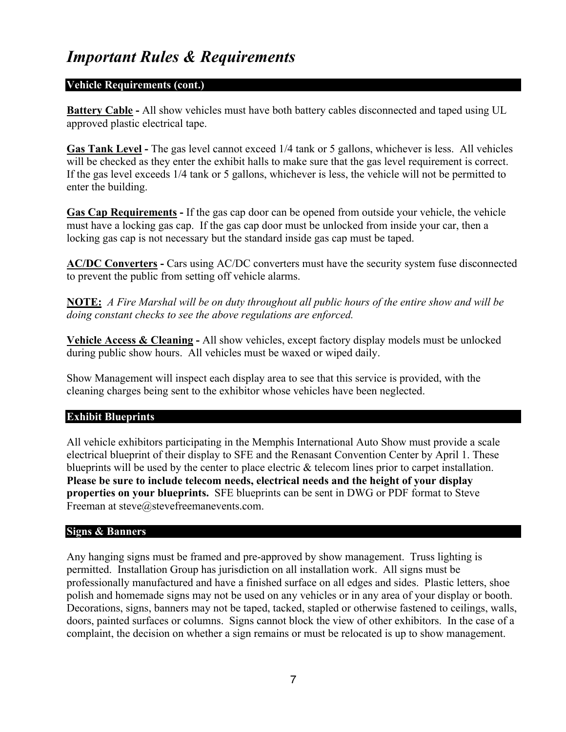#### **Vehicle Requirements (cont.)**

**Battery Cable** - All show vehicles must have both battery cables disconnected and taped using UL approved plastic electrical tape.

**Gas Tank Level -** The gas level cannot exceed 1/4 tank or 5 gallons, whichever is less. All vehicles will be checked as they enter the exhibit halls to make sure that the gas level requirement is correct. If the gas level exceeds 1/4 tank or 5 gallons, whichever is less, the vehicle will not be permitted to enter the building.

**Gas Cap Requirements -** If the gas cap door can be opened from outside your vehicle, the vehicle must have a locking gas cap. If the gas cap door must be unlocked from inside your car, then a locking gas cap is not necessary but the standard inside gas cap must be taped.

**AC/DC Converters -** Cars using AC/DC converters must have the security system fuse disconnected to prevent the public from setting off vehicle alarms.

**NOTE:** *A Fire Marshal will be on duty throughout all public hours of the entire show and will be doing constant checks to see the above regulations are enforced.*

**Vehicle Access & Cleaning -** All show vehicles, except factory display models must be unlocked during public show hours. All vehicles must be waxed or wiped daily.

Show Management will inspect each display area to see that this service is provided, with the cleaning charges being sent to the exhibitor whose vehicles have been neglected.

#### **Exhibit Blueprints**

All vehicle exhibitors participating in the Memphis International Auto Show must provide a scale electrical blueprint of their display to SFE and the Renasant Convention Center by April 1. These blueprints will be used by the center to place electric & telecom lines prior to carpet installation. **Please be sure to include telecom needs, electrical needs and the height of your display properties on your blueprints.** SFE blueprints can be sent in DWG or PDF format to Steve Freeman at steve@stevefreemanevents.com.

#### **Signs & Banners**

Any hanging signs must be framed and pre-approved by show management. Truss lighting is permitted. Installation Group has jurisdiction on all installation work. All signs must be professionally manufactured and have a finished surface on all edges and sides. Plastic letters, shoe polish and homemade signs may not be used on any vehicles or in any area of your display or booth. Decorations, signs, banners may not be taped, tacked, stapled or otherwise fastened to ceilings, walls, doors, painted surfaces or columns. Signs cannot block the view of other exhibitors. In the case of a complaint, the decision on whether a sign remains or must be relocated is up to show management.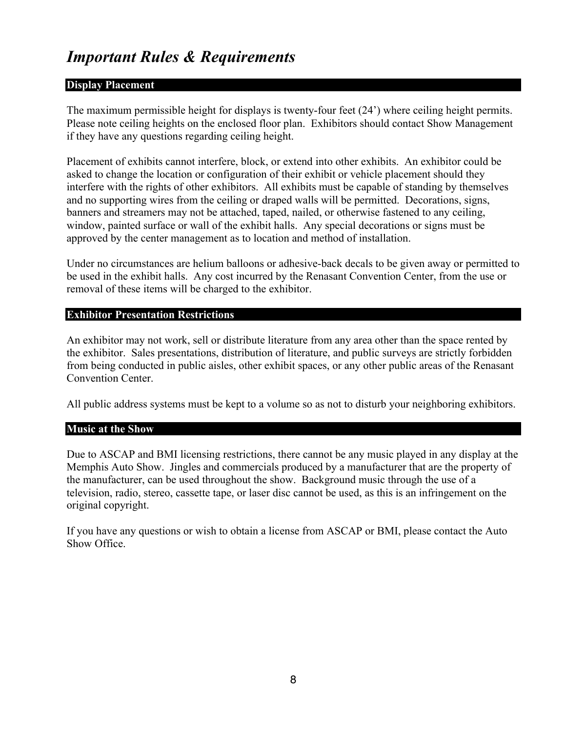#### **Display Placement**

The maximum permissible height for displays is twenty-four feet (24') where ceiling height permits. Please note ceiling heights on the enclosed floor plan. Exhibitors should contact Show Management if they have any questions regarding ceiling height.

Placement of exhibits cannot interfere, block, or extend into other exhibits. An exhibitor could be asked to change the location or configuration of their exhibit or vehicle placement should they interfere with the rights of other exhibitors. All exhibits must be capable of standing by themselves and no supporting wires from the ceiling or draped walls will be permitted. Decorations, signs, banners and streamers may not be attached, taped, nailed, or otherwise fastened to any ceiling, window, painted surface or wall of the exhibit halls. Any special decorations or signs must be approved by the center management as to location and method of installation.

Under no circumstances are helium balloons or adhesive-back decals to be given away or permitted to be used in the exhibit halls. Any cost incurred by the Renasant Convention Center, from the use or removal of these items will be charged to the exhibitor.

#### **Exhibitor Presentation Restrictions**

An exhibitor may not work, sell or distribute literature from any area other than the space rented by the exhibitor. Sales presentations, distribution of literature, and public surveys are strictly forbidden from being conducted in public aisles, other exhibit spaces, or any other public areas of the Renasant Convention Center.

All public address systems must be kept to a volume so as not to disturb your neighboring exhibitors.

#### **Music at the Show**

Due to ASCAP and BMI licensing restrictions, there cannot be any music played in any display at the Memphis Auto Show. Jingles and commercials produced by a manufacturer that are the property of the manufacturer, can be used throughout the show. Background music through the use of a television, radio, stereo, cassette tape, or laser disc cannot be used, as this is an infringement on the original copyright.

If you have any questions or wish to obtain a license from ASCAP or BMI, please contact the Auto Show Office.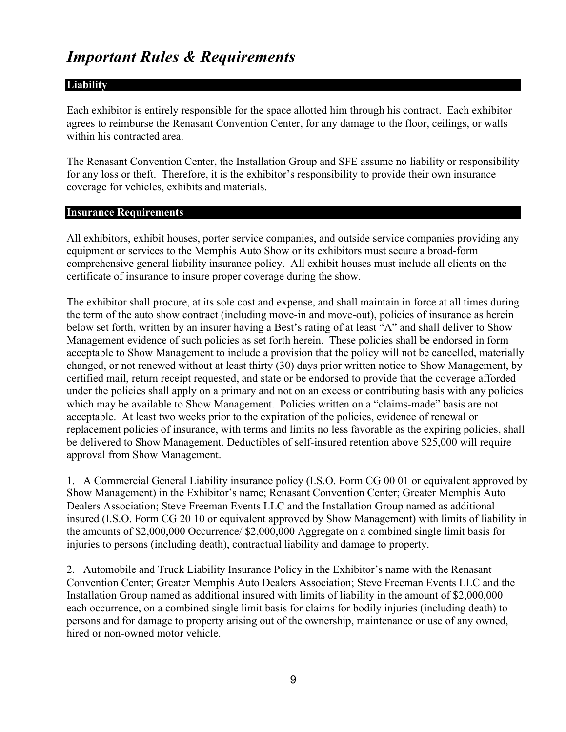#### **Liability**

Each exhibitor is entirely responsible for the space allotted him through his contract. Each exhibitor agrees to reimburse the Renasant Convention Center, for any damage to the floor, ceilings, or walls within his contracted area.

The Renasant Convention Center, the Installation Group and SFE assume no liability or responsibility for any loss or theft. Therefore, it is the exhibitor's responsibility to provide their own insurance coverage for vehicles, exhibits and materials.

#### **Insurance Requirements**

All exhibitors, exhibit houses, porter service companies, and outside service companies providing any equipment or services to the Memphis Auto Show or its exhibitors must secure a broad-form comprehensive general liability insurance policy. All exhibit houses must include all clients on the certificate of insurance to insure proper coverage during the show.

The exhibitor shall procure, at its sole cost and expense, and shall maintain in force at all times during the term of the auto show contract (including move-in and move-out), policies of insurance as herein below set forth, written by an insurer having a Best's rating of at least "A" and shall deliver to Show Management evidence of such policies as set forth herein. These policies shall be endorsed in form acceptable to Show Management to include a provision that the policy will not be cancelled, materially changed, or not renewed without at least thirty (30) days prior written notice to Show Management, by certified mail, return receipt requested, and state or be endorsed to provide that the coverage afforded under the policies shall apply on a primary and not on an excess or contributing basis with any policies which may be available to Show Management. Policies written on a "claims-made" basis are not acceptable. At least two weeks prior to the expiration of the policies, evidence of renewal or replacement policies of insurance, with terms and limits no less favorable as the expiring policies, shall be delivered to Show Management. Deductibles of self-insured retention above \$25,000 will require approval from Show Management.

1. A Commercial General Liability insurance policy (I.S.O. Form CG 00 01 or equivalent approved by Show Management) in the Exhibitor's name; Renasant Convention Center; Greater Memphis Auto Dealers Association; Steve Freeman Events LLC and the Installation Group named as additional insured (I.S.O. Form CG 20 10 or equivalent approved by Show Management) with limits of liability in the amounts of \$2,000,000 Occurrence/ \$2,000,000 Aggregate on a combined single limit basis for injuries to persons (including death), contractual liability and damage to property.

2. Automobile and Truck Liability Insurance Policy in the Exhibitor's name with the Renasant Convention Center; Greater Memphis Auto Dealers Association; Steve Freeman Events LLC and the Installation Group named as additional insured with limits of liability in the amount of \$2,000,000 each occurrence, on a combined single limit basis for claims for bodily injuries (including death) to persons and for damage to property arising out of the ownership, maintenance or use of any owned, hired or non-owned motor vehicle.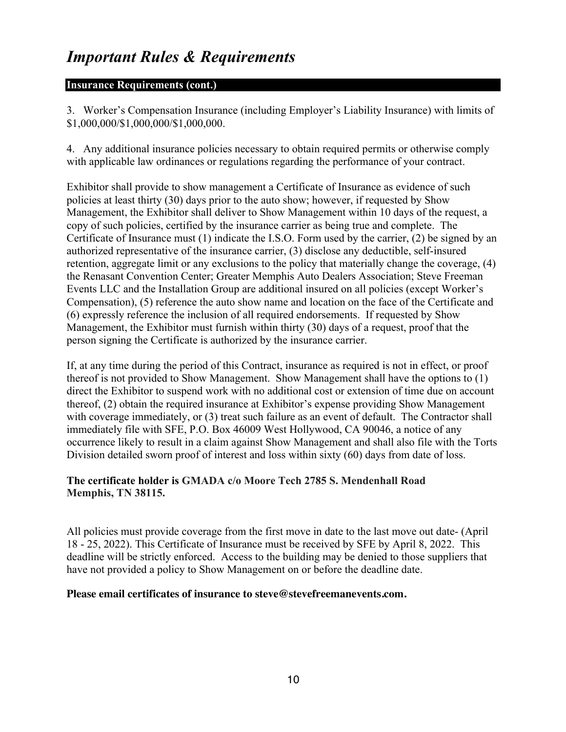#### **Insurance Requirements (cont.)**

3. Worker's Compensation Insurance (including Employer's Liability Insurance) with limits of \$1,000,000/\$1,000,000/\$1,000,000.

4. Any additional insurance policies necessary to obtain required permits or otherwise comply with applicable law ordinances or regulations regarding the performance of your contract.

Exhibitor shall provide to show management a Certificate of Insurance as evidence of such policies at least thirty (30) days prior to the auto show; however, if requested by Show Management, the Exhibitor shall deliver to Show Management within 10 days of the request, a copy of such policies, certified by the insurance carrier as being true and complete. The Certificate of Insurance must (1) indicate the I.S.O. Form used by the carrier, (2) be signed by an authorized representative of the insurance carrier, (3) disclose any deductible, self-insured retention, aggregate limit or any exclusions to the policy that materially change the coverage, (4) the Renasant Convention Center; Greater Memphis Auto Dealers Association; Steve Freeman Events LLC and the Installation Group are additional insured on all policies (except Worker's Compensation), (5) reference the auto show name and location on the face of the Certificate and (6) expressly reference the inclusion of all required endorsements. If requested by Show Management, the Exhibitor must furnish within thirty (30) days of a request, proof that the person signing the Certificate is authorized by the insurance carrier.

If, at any time during the period of this Contract, insurance as required is not in effect, or proof thereof is not provided to Show Management. Show Management shall have the options to (1) direct the Exhibitor to suspend work with no additional cost or extension of time due on account thereof, (2) obtain the required insurance at Exhibitor's expense providing Show Management with coverage immediately, or (3) treat such failure as an event of default. The Contractor shall immediately file with SFE, P.O. Box 46009 West Hollywood, CA 90046, a notice of any occurrence likely to result in a claim against Show Management and shall also file with the Torts Division detailed sworn proof of interest and loss within sixty (60) days from date of loss.

#### **The certificate holder is GMADA c/o Moore Tech 2785 S. Mendenhall Road Memphis, TN 38115.**

All policies must provide coverage from the first move in date to the last move out date- (April 18 - 25, 2022). This Certificate of Insurance must be received by SFE by April 8, 2022. This deadline will be strictly enforced. Access to the building may be denied to those suppliers that have not provided a policy to Show Management on or before the deadline date.

#### **Please email certificates of insurance to steve@stevefreemanevents.com.**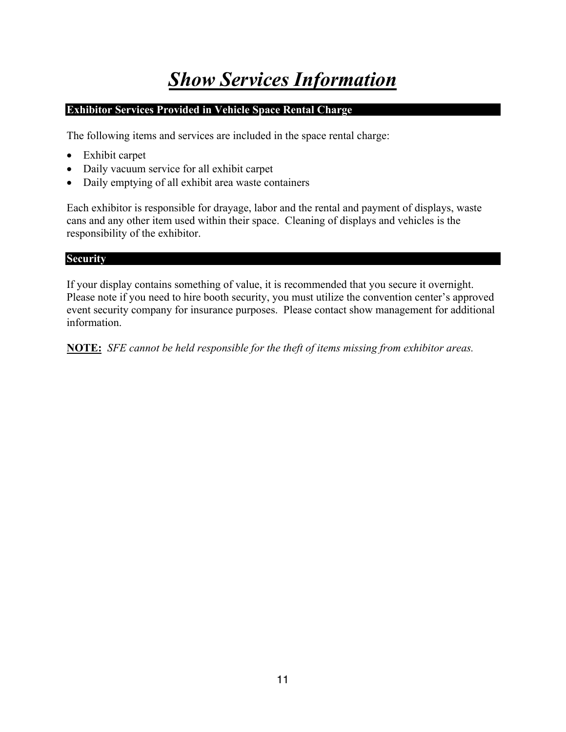# *Show Services Information*

#### **Exhibitor Services Provided in Vehicle Space Rental Charge**

The following items and services are included in the space rental charge:

- Exhibit carpet
- Daily vacuum service for all exhibit carpet
- Daily emptying of all exhibit area waste containers

Each exhibitor is responsible for drayage, labor and the rental and payment of displays, waste cans and any other item used within their space. Cleaning of displays and vehicles is the responsibility of the exhibitor.

#### **Security**

If your display contains something of value, it is recommended that you secure it overnight. Please note if you need to hire booth security, you must utilize the convention center's approved event security company for insurance purposes. Please contact show management for additional information.

**NOTE:** *SFE cannot be held responsible for the theft of items missing from exhibitor areas.*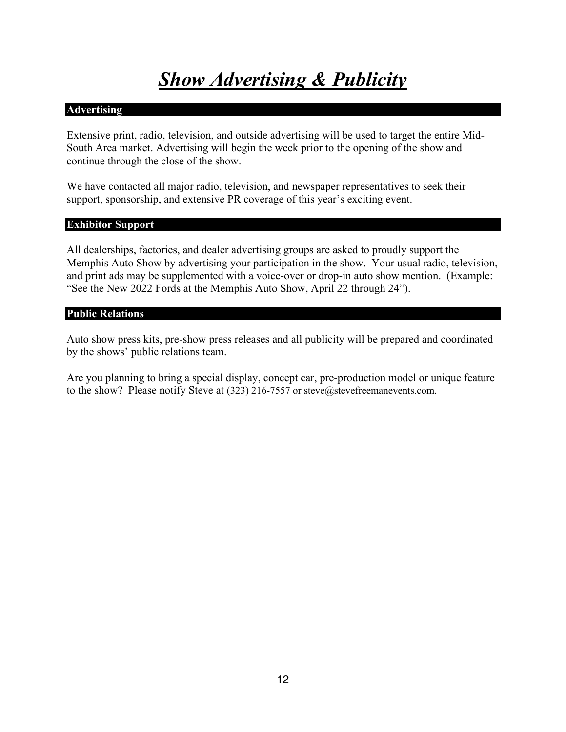# *Show Advertising & Publicity*

#### **Advertising**

Extensive print, radio, television, and outside advertising will be used to target the entire Mid-South Area market. Advertising will begin the week prior to the opening of the show and continue through the close of the show.

We have contacted all major radio, television, and newspaper representatives to seek their support, sponsorship, and extensive PR coverage of this year's exciting event.

#### **Exhibitor Support**

All dealerships, factories, and dealer advertising groups are asked to proudly support the Memphis Auto Show by advertising your participation in the show. Your usual radio, television, and print ads may be supplemented with a voice-over or drop-in auto show mention. (Example: "See the New 2022 Fords at the Memphis Auto Show, April 22 through 24").

#### **Public Relations**

Auto show press kits, pre-show press releases and all publicity will be prepared and coordinated by the shows' public relations team.

Are you planning to bring a special display, concept car, pre-production model or unique feature to the show? Please notify Steve at (323) 216-7557 or steve@stevefreemanevents.com.